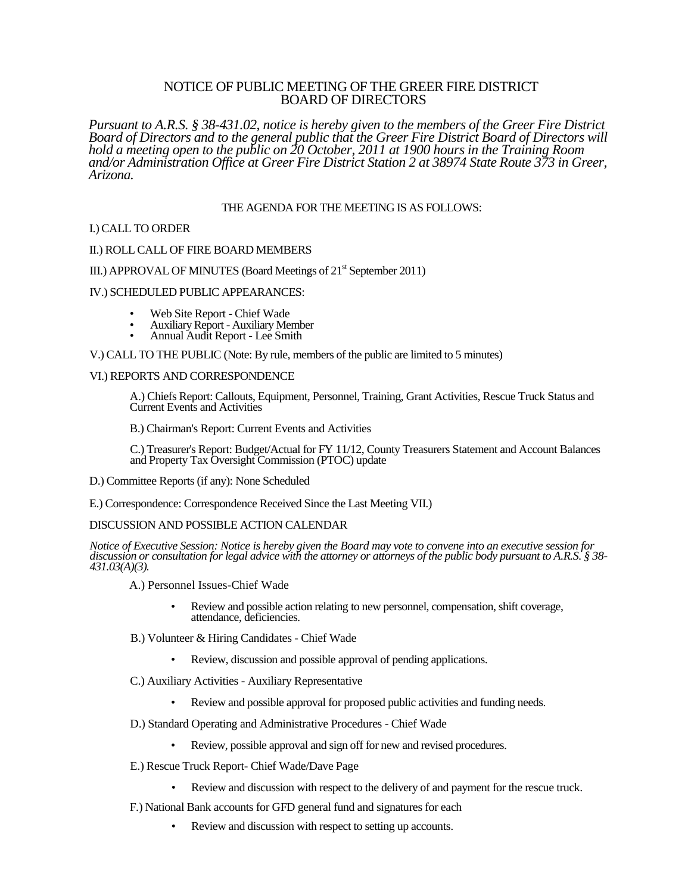# NOTICE OF PUBLIC MEETING OF THE GREER FIRE DISTRICT BOARD OF DIRECTORS

*Pursuant to A.R.S. § 38-431.02, notice is hereby given to the members of the Greer Fire District Board of Directors and to the general public that the Greer Fire District Board of Directors will hold a meeting open to the public on 20 October, 2011 at 1900 hours in the Training Room and/or Administration Office at Greer Fire District Station 2 at 38974 State Route 373 in Greer, Arizona.*

## THE AGENDA FOR THE MEETING IS AS FOLLOWS:

### I.) CALL TO ORDER

### II.) ROLL CALL OF FIRE BOARD MEMBERS

## III.) APPROVAL OF MINUTES (Board Meetings of  $21<sup>st</sup>$  September 2011)

### IV.) SCHEDULED PUBLIC APPEARANCES:

- Web Site Report Chief Wade
- Auxiliary Report Auxiliary Member
- Annual Audit Report Lee Smith

V.) CALL TO THE PUBLIC (Note: By rule, members of the public are limited to 5 minutes)

### VI.) REPORTS AND CORRESPONDENCE

A.) Chiefs Report: Callouts, Equipment, Personnel, Training, Grant Activities, Rescue Truck Status and Current Events and Activities

B.) Chairman's Report: Current Events and Activities

C.) Treasurer's Report: Budget/Actual for FY 11/12, County Treasurers Statement and Account Balances and Property Tax Oversight Commission (PTOC) update

- D.) Committee Reports (if any): None Scheduled
- E.) Correspondence: Correspondence Received Since the Last Meeting VII.)

## DISCUSSION AND POSSIBLE ACTION CALENDAR

*Notice of Executive Session: Notice is hereby given the Board may vote to convene into an executive session for discussion or consultation for legal advice with the attorney or attorneys of the public body pursuant to A.R.S. § 38- 431.03(A)(3).*

A.) Personnel Issues-Chief Wade

- Review and possible action relating to new personnel, compensation, shift coverage, attendance, deficiencies.
- B.) Volunteer & Hiring Candidates Chief Wade
	- Review, discussion and possible approval of pending applications.
- C.) Auxiliary Activities Auxiliary Representative
	- Review and possible approval for proposed public activities and funding needs.
- D.) Standard Operating and Administrative Procedures Chief Wade
	- Review, possible approval and sign off for new and revised procedures.
- E.) Rescue Truck Report- Chief Wade/Dave Page
	- Review and discussion with respect to the delivery of and payment for the rescue truck.
- F.) National Bank accounts for GFD general fund and signatures for each
	- Review and discussion with respect to setting up accounts.